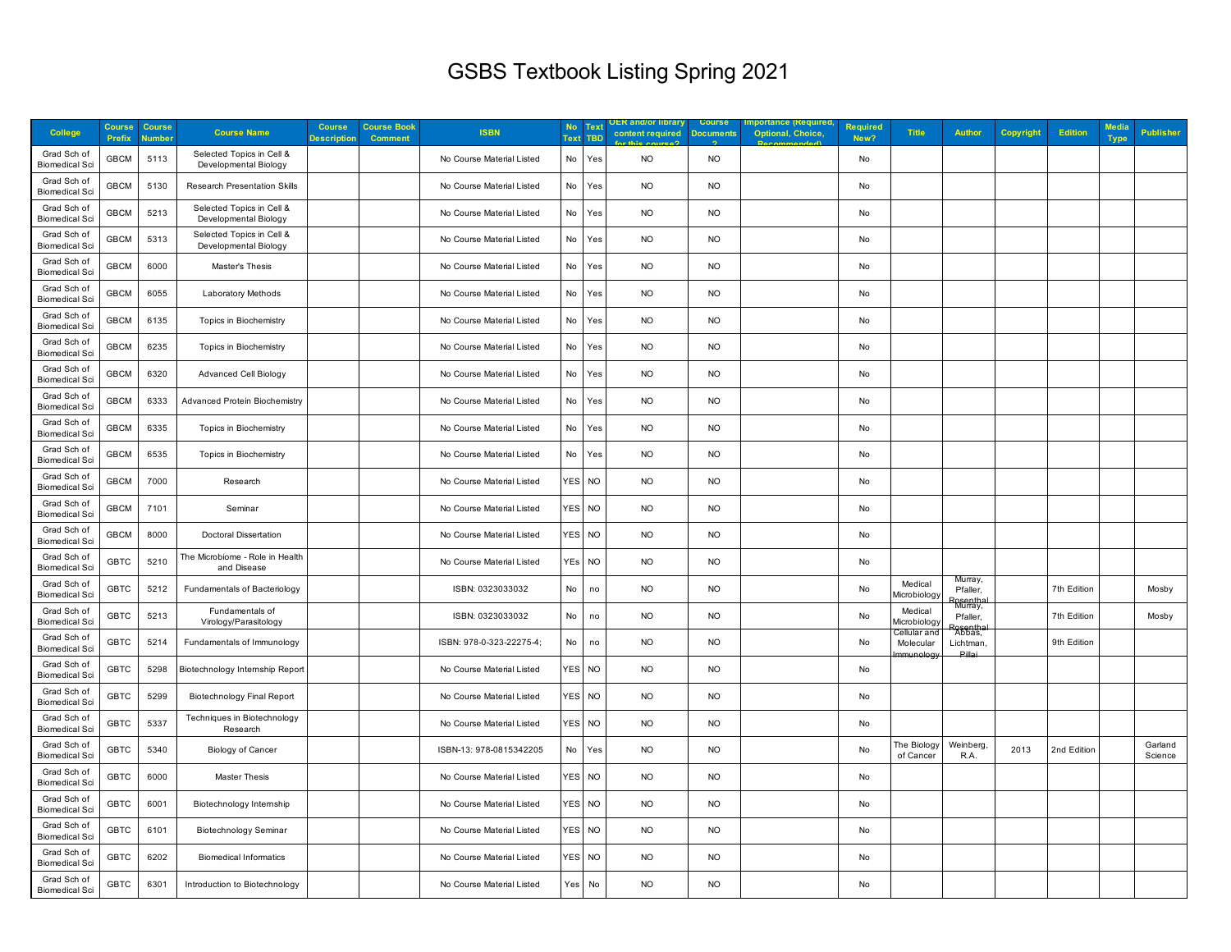## GSBS Textbook Listing Spring 2021

| <b>College</b>                       | Course<br>Prefix | <b>Course</b><br>umbe | <b>Course Name</b>                                 | <b>Course</b><br>Descriptioı | <b>Course Book</b><br><b>Comment</b> | <b>ISBN</b>               | <b>No</b><br><b>Text</b> | Text<br><b>TBD</b> | ER and/or librar <sub>)</sub><br>content required | <b>Course</b><br><b>Document</b> | <b>Optional, Choice</b> | <b>Required</b><br>New? | <b>Title</b>                         | <b>Author</b>                              | <b>Copyright</b> | <b>Edition</b> | Media<br><b>Type</b> | <b>Publisher</b>   |
|--------------------------------------|------------------|-----------------------|----------------------------------------------------|------------------------------|--------------------------------------|---------------------------|--------------------------|--------------------|---------------------------------------------------|----------------------------------|-------------------------|-------------------------|--------------------------------------|--------------------------------------------|------------------|----------------|----------------------|--------------------|
| Grad Sch of<br><b>Biomedical Sci</b> | <b>GBCM</b>      | 5113                  | Selected Topics in Cell &<br>Developmental Biology |                              |                                      | No Course Material Listed | No                       | Yes                | <b>NO</b>                                         | <b>NO</b>                        |                         | No                      |                                      |                                            |                  |                |                      |                    |
| Grad Sch of<br><b>Biomedical Sci</b> | <b>GBCM</b>      | 5130                  | <b>Research Presentation Skills</b>                |                              |                                      | No Course Material Listed | No                       | Yes                | <b>NO</b>                                         | <b>NO</b>                        |                         | No                      |                                      |                                            |                  |                |                      |                    |
| Grad Sch of<br><b>Biomedical Sci</b> | <b>GBCM</b>      | 5213                  | Selected Topics in Cell &<br>Developmental Biology |                              |                                      | No Course Material Listed | No                       | Yes                | <b>NO</b>                                         | <b>NO</b>                        |                         | No                      |                                      |                                            |                  |                |                      |                    |
| Grad Sch of<br><b>Biomedical Sci</b> | GBCM             | 5313                  | Selected Topics in Cell &<br>Developmental Biology |                              |                                      | No Course Material Listed | No                       | Yes                | <b>NO</b>                                         | <b>NO</b>                        |                         | No                      |                                      |                                            |                  |                |                      |                    |
| Grad Sch of<br><b>Biomedical Sci</b> | <b>GBCM</b>      | 6000                  | Master's Thesis                                    |                              |                                      | No Course Material Listed | No                       | Yes                | <b>NO</b>                                         | <b>NO</b>                        |                         | No                      |                                      |                                            |                  |                |                      |                    |
| Grad Sch of<br><b>Biomedical Sci</b> | <b>GBCM</b>      | 6055                  | Laboratory Methods                                 |                              |                                      | No Course Material Listed | No                       | Yes                | <b>NO</b>                                         | <b>NO</b>                        |                         | No                      |                                      |                                            |                  |                |                      |                    |
| Grad Sch of<br><b>Biomedical Sci</b> | <b>GBCM</b>      | 6135                  | Topics in Biochemistry                             |                              |                                      | No Course Material Listed | No                       | Yes                | <b>NO</b>                                         | <b>NO</b>                        |                         | No                      |                                      |                                            |                  |                |                      |                    |
| Grad Sch of<br><b>Biomedical Sci</b> | <b>GBCM</b>      | 6235                  | Topics in Biochemistry                             |                              |                                      | No Course Material Listed | No                       | Yes                | <b>NO</b>                                         | <b>NO</b>                        |                         | No                      |                                      |                                            |                  |                |                      |                    |
| Grad Sch of<br><b>Biomedical Sci</b> | <b>GBCM</b>      | 6320                  | <b>Advanced Cell Biology</b>                       |                              |                                      | No Course Material Listed | No                       | Yes                | <b>NO</b>                                         | <b>NO</b>                        |                         | No                      |                                      |                                            |                  |                |                      |                    |
| Grad Sch of<br><b>Biomedical Sci</b> | <b>GBCM</b>      | 6333                  | Advanced Protein Biochemistry                      |                              |                                      | No Course Material Listed | No                       | Yes                | <b>NO</b>                                         | <b>NO</b>                        |                         | No                      |                                      |                                            |                  |                |                      |                    |
| Grad Sch of<br><b>Biomedical Sci</b> | <b>GBCM</b>      | 6335                  | Topics in Biochemistry                             |                              |                                      | No Course Material Listed | No                       | Yes                | <b>NO</b>                                         | <b>NO</b>                        |                         | No                      |                                      |                                            |                  |                |                      |                    |
| Grad Sch of<br><b>Biomedical Sci</b> | <b>GBCM</b>      | 6535                  | Topics in Biochemistry                             |                              |                                      | No Course Material Listed | No                       | Yes                | <b>NO</b>                                         | <b>NO</b>                        |                         | No                      |                                      |                                            |                  |                |                      |                    |
| Grad Sch of<br><b>Biomedical Sci</b> | <b>GBCM</b>      | 7000                  | Research                                           |                              |                                      | No Course Material Listed | <b>YES</b>               | <b>NO</b>          | <b>NO</b>                                         | <b>NO</b>                        |                         | No                      |                                      |                                            |                  |                |                      |                    |
| Grad Sch of<br><b>Biomedical Sci</b> | GBCM             | 7101                  | Seminar                                            |                              |                                      | No Course Material Listed | <b>YES</b>               | <b>NO</b>          | <b>NO</b>                                         | <b>NO</b>                        |                         | No                      |                                      |                                            |                  |                |                      |                    |
| Grad Sch of<br><b>Biomedical Sci</b> | <b>GBCM</b>      | 8000                  | <b>Doctoral Dissertation</b>                       |                              |                                      | No Course Material Listed | YES                      | <b>NO</b>          | <b>NO</b>                                         | <b>NO</b>                        |                         | No                      |                                      |                                            |                  |                |                      |                    |
| Grad Sch of<br><b>Biomedical Sci</b> | <b>GBTC</b>      | 5210                  | The Microbiome - Role in Health<br>and Disease     |                              |                                      | No Course Material Listed | YEs                      | <b>NO</b>          | <b>NO</b>                                         | <b>NO</b>                        |                         | No                      |                                      |                                            |                  |                |                      |                    |
| Grad Sch of<br><b>Biomedical Sci</b> | <b>GBTC</b>      | 5212                  | Fundamentals of Bacteriology                       |                              |                                      | ISBN: 0323033032          | No                       | no                 | <b>NO</b>                                         | <b>NO</b>                        |                         | No                      | Medical<br><i><b>Aicrobiolog</b></i> | Murray,<br>Pfaller,<br>'osentha<br>Murray, |                  | 7th Edition    |                      | Mosby              |
| Grad Sch of<br><b>Biomedical Sci</b> | <b>GBTC</b>      | 5213                  | Fundamentals of<br>Virology/Parasitology           |                              |                                      | ISBN: 0323033032          | No                       | no                 | <b>NO</b>                                         | <b>NO</b>                        |                         | No                      | Medical<br>Microbiolog               | Pfaller,<br>'osentha<br>Abbas,             |                  | 7th Edition    |                      | Mosby              |
| Grad Sch of<br><b>Biomedical Sci</b> | <b>GBTC</b>      | 5214                  | Fundamentals of Immunology                         |                              |                                      | ISBN: 978-0-323-22275-4;  | No                       | no                 | <b>NO</b>                                         | <b>NO</b>                        |                         | No                      | Cellular and<br>Molecular            | Lichtman,<br>Dillo                         |                  | 9th Edition    |                      |                    |
| Grad Sch of<br><b>Biomedical Sci</b> | <b>GBTC</b>      | 5298                  | Biotechnology Internship Report                    |                              |                                      | No Course Material Listed | <b>YES</b>               | <b>NO</b>          | <b>NO</b>                                         | <b>NO</b>                        |                         | No                      |                                      |                                            |                  |                |                      |                    |
| Grad Sch of<br><b>Biomedical Sci</b> | <b>GBTC</b>      | 5299                  | <b>Biotechnology Final Report</b>                  |                              |                                      | No Course Material Listed | YES                      | <b>NO</b>          | <b>NO</b>                                         | <b>NO</b>                        |                         | No                      |                                      |                                            |                  |                |                      |                    |
| Grad Sch of<br><b>Biomedical Sci</b> | <b>GBTC</b>      | 5337                  | Techniques in Biotechnology<br>Research            |                              |                                      | No Course Material Listed | YES                      | <b>NO</b>          | <b>NO</b>                                         | <b>NO</b>                        |                         | No                      |                                      |                                            |                  |                |                      |                    |
| Grad Sch of<br><b>Biomedical Sci</b> | <b>GBTC</b>      | 5340                  | <b>Biology of Cancer</b>                           |                              |                                      | ISBN-13: 978-0815342205   | No                       | Yes                | NO                                                | <b>NO</b>                        |                         | No                      | The Biology<br>of Cancer             | <b>Weinberg</b><br>R.A.                    | 2013             | 2nd Edition    |                      | Garland<br>Science |
| Grad Sch of<br><b>Biomedical Sci</b> | <b>GBTC</b>      | 6000                  | <b>Master Thesis</b>                               |                              |                                      | No Course Material Listed | YES                      | $NO$               | <b>NO</b>                                         | <b>NO</b>                        |                         | No                      |                                      |                                            |                  |                |                      |                    |
| Grad Sch of<br><b>Biomedical Sci</b> | <b>GBTC</b>      | 6001                  | Biotechnology Internship                           |                              |                                      | No Course Material Listed | <b>YES</b>               | <b>NO</b>          | <b>NO</b>                                         | <b>NO</b>                        |                         | No                      |                                      |                                            |                  |                |                      |                    |
| Grad Sch of<br><b>Biomedical Sci</b> | <b>GBTC</b>      | 6101                  | <b>Biotechnology Seminar</b>                       |                              |                                      | No Course Material Listed | YES                      | <b>NO</b>          | <b>NO</b>                                         | <b>NO</b>                        |                         | No                      |                                      |                                            |                  |                |                      |                    |
| Grad Sch of<br><b>Biomedical Sci</b> | <b>GBTC</b>      | 6202                  | <b>Biomedical Informatics</b>                      |                              |                                      | No Course Material Listed | YES                      | <b>NO</b>          | <b>NO</b>                                         | <b>NO</b>                        |                         | No                      |                                      |                                            |                  |                |                      |                    |
| Grad Sch of<br><b>Biomedical Sci</b> | <b>GBTC</b>      | 6301                  | Introduction to Biotechnology                      |                              |                                      | No Course Material Listed | Yes                      | No                 | <b>NO</b>                                         | <b>NO</b>                        |                         | No                      |                                      |                                            |                  |                |                      |                    |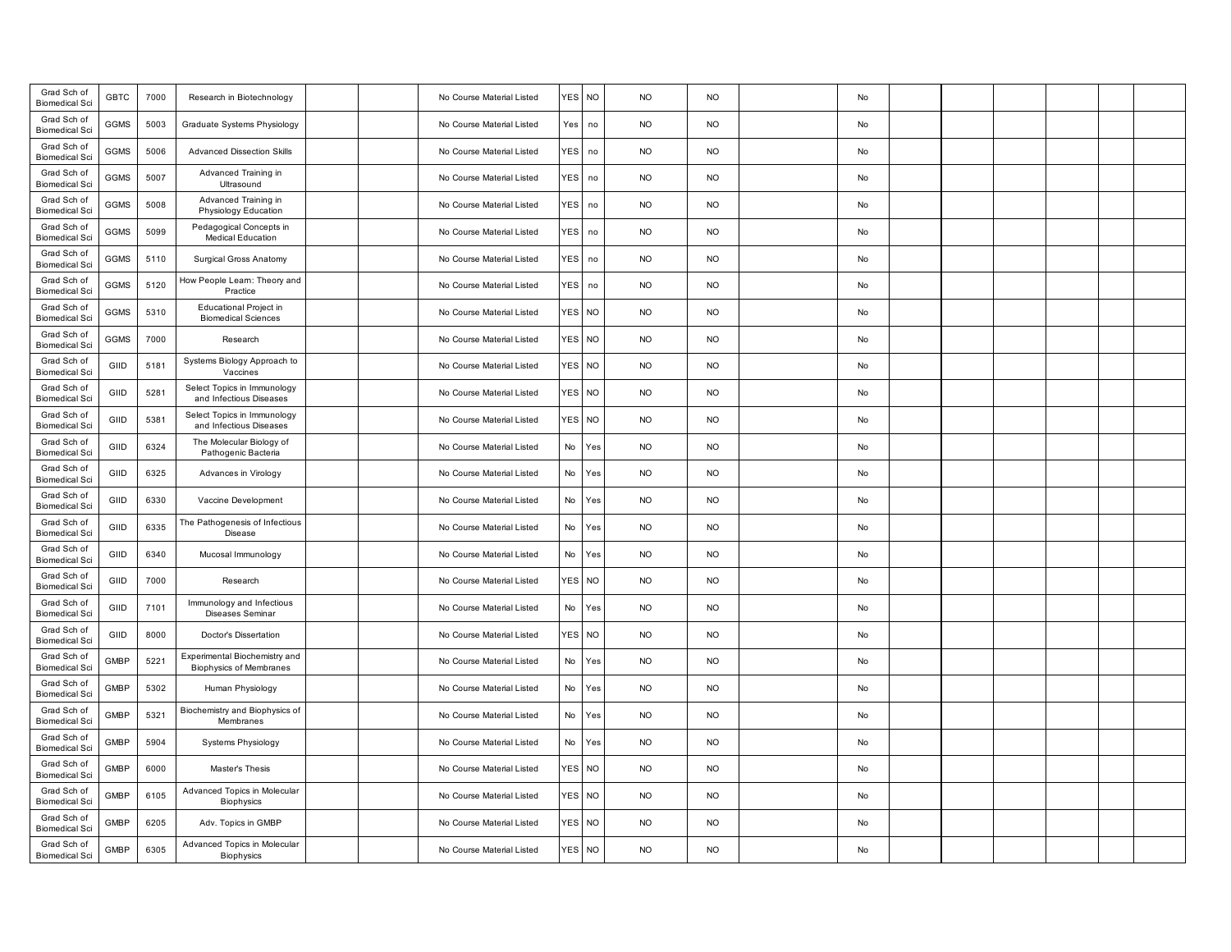| Grad Sch of<br><b>Biomedical Sci</b> | <b>GBTC</b> | 7000 | Research in Biotechnology                                       |  | No Course Material Listed | res I            | <b>NO</b> | <b>NO</b> | <b>NO</b> | No |  |  |  |
|--------------------------------------|-------------|------|-----------------------------------------------------------------|--|---------------------------|------------------|-----------|-----------|-----------|----|--|--|--|
| Grad Sch of<br><b>Biomedical Sci</b> | GGMS        | 5003 | Graduate Systems Physiology                                     |  | No Course Material Listed | Yes              | no        | <b>NO</b> | <b>NO</b> | No |  |  |  |
| Grad Sch of<br><b>Biomedical Sci</b> | GGMS        | 5006 | <b>Advanced Dissection Skills</b>                               |  | No Course Material Listed | <b>YES</b>       | no        | <b>NO</b> | <b>NO</b> | No |  |  |  |
| Grad Sch of<br><b>Biomedical Sci</b> | GGMS        | 5007 | Advanced Training in<br>Ultrasound                              |  | No Course Material Listed | <b>YES</b>       | no        | <b>NO</b> | <b>NO</b> | No |  |  |  |
| Grad Sch of<br><b>Biomedical Sci</b> | GGMS        | 5008 | Advanced Training in<br>Physiology Education                    |  | No Course Material Listed | <b>YES</b>       | no        | <b>NO</b> | <b>NO</b> | No |  |  |  |
| Grad Sch of<br><b>Biomedical Sci</b> | GGMS        | 5099 | Pedagogical Concepts in<br><b>Medical Education</b>             |  | No Course Material Listed | <b>YES</b>       | no        | <b>NO</b> | <b>NO</b> | No |  |  |  |
| Grad Sch of<br><b>Biomedical Sci</b> | GGMS        | 5110 | Surgical Gross Anatomy                                          |  | No Course Material Listed | <b>YES</b>       | no        | <b>NO</b> | <b>NO</b> | No |  |  |  |
| Grad Sch of<br><b>Biomedical Sci</b> | <b>GGMS</b> | 5120 | How People Learn: Theory and<br>Practice                        |  | No Course Material Listed | <b>YES</b>       | no        | <b>NO</b> | <b>NO</b> | No |  |  |  |
| Grad Sch of<br><b>Biomedical Sci</b> | <b>GGMS</b> | 5310 | Educational Project in<br><b>Biomedical Sciences</b>            |  | No Course Material Listed | <b>YES</b>       | <b>NO</b> | <b>NO</b> | <b>NO</b> | No |  |  |  |
| Grad Sch of<br><b>Biomedical Sci</b> | GGMS        | 7000 | Research                                                        |  | No Course Material Listed | <b>ES</b>        | <b>NO</b> | <b>NO</b> | <b>NO</b> | No |  |  |  |
| Grad Sch of<br><b>Biomedical Sci</b> | GIID        | 5181 | Systems Biology Approach to<br>Vaccines                         |  | No Course Material Listed | <b>FS</b>        | <b>NO</b> | <b>NO</b> | <b>NO</b> | No |  |  |  |
| Grad Sch of<br><b>Biomedical Sci</b> | GIID        | 5281 | Select Topics in Immunology<br>and Infectious Diseases          |  | No Course Material Listed | YES <sup></sup>  | <b>NO</b> | <b>NO</b> | <b>NO</b> | No |  |  |  |
| Grad Sch of<br><b>Biomedical Sci</b> | GIID        | 5381 | Select Topics in Immunology<br>and Infectious Diseases          |  | No Course Material Listed | YES <sup></sup>  | <b>NO</b> | <b>NO</b> | <b>NO</b> | No |  |  |  |
| Grad Sch of<br><b>Biomedical Sci</b> | GIID        | 6324 | The Molecular Biology of<br>Pathogenic Bacteria                 |  | No Course Material Listed | No               | Yes       | <b>NO</b> | <b>NO</b> | No |  |  |  |
| Grad Sch of<br><b>Biomedical Sci</b> | GIID        | 6325 | Advances in Virology                                            |  | No Course Material Listed | No               | Yes       | <b>NO</b> | <b>NO</b> | No |  |  |  |
| Grad Sch of<br><b>Biomedical Sci</b> | GIID        | 6330 | Vaccine Development                                             |  | No Course Material Listed | No               | Yes       | <b>NO</b> | <b>NO</b> | No |  |  |  |
| Grad Sch of<br><b>Biomedical Sci</b> | GIID        | 6335 | The Pathogenesis of Infectious<br>Disease                       |  | No Course Material Listed | No               | Yes       | <b>NO</b> | <b>NO</b> | No |  |  |  |
| Grad Sch of<br><b>Biomedical Sci</b> | GIID        | 6340 | Mucosal Immunology                                              |  | No Course Material Listed | No               | Yes       | <b>NO</b> | <b>NO</b> | No |  |  |  |
| Grad Sch of<br><b>Biomedical Sci</b> | GIID        | 7000 | Research                                                        |  | No Course Material Listed | res              | <b>NO</b> | <b>NO</b> | <b>NO</b> | No |  |  |  |
| Grad Sch of<br><b>Biomedical Sci</b> | GIID        | 7101 | Immunology and Infectious<br>Diseases Seminar                   |  | No Course Material Listed | No               | Yes       | <b>NO</b> | <b>NO</b> | No |  |  |  |
| Grad Sch of<br><b>Biomedical Sci</b> | GIID        | 8000 | Doctor's Dissertation                                           |  | No Course Material Listed | YES <sup></sup>  | <b>NO</b> | <b>NO</b> | <b>NO</b> | No |  |  |  |
| Grad Sch of<br><b>Biomedical Sci</b> | <b>GMBP</b> | 5221 | Experimental Biochemistry and<br><b>Biophysics of Membranes</b> |  | No Course Material Listed | No               | Yes       | <b>NO</b> | <b>NO</b> | No |  |  |  |
| Grad Sch of<br><b>Biomedical Sci</b> | <b>GMBP</b> | 5302 | Human Physiology                                                |  | No Course Material Listed | No               | Yes       | <b>NO</b> | <b>NO</b> | No |  |  |  |
| Grad Sch of<br><b>Biomedical Sci</b> | <b>GMBP</b> | 5321 | Biochemistry and Biophysics of<br>Membranes                     |  | No Course Material Listed | No               | Yes       | <b>NO</b> | <b>NO</b> | No |  |  |  |
| Grad Sch of<br><b>Biomedical Sci</b> | <b>GMBP</b> | 5904 | Systems Physiology                                              |  | No Course Material Listed | No               | Yes       | <b>NO</b> | <b>NO</b> | No |  |  |  |
| Grad Sch of<br><b>Biomedical Sci</b> | <b>GMBP</b> | 6000 | Master's Thesis                                                 |  | No Course Material Listed | res I            | <b>NO</b> | <b>NO</b> | <b>NO</b> | No |  |  |  |
| Grad Sch of<br><b>Biomedical Sci</b> | <b>GMBP</b> | 6105 | Advanced Topics in Molecular<br>Biophysics                      |  | No Course Material Listed | YES <sup></sup>  | <b>NO</b> | <b>NO</b> | <b>NO</b> | No |  |  |  |
| Grad Sch of<br><b>Biomedical Sci</b> | <b>GMBP</b> | 6205 | Adv. Topics in GMBP                                             |  | No Course Material Listed | YES <sup>I</sup> | <b>NO</b> | <b>NO</b> | <b>NO</b> | No |  |  |  |
| Grad Sch of<br><b>Biomedical Sci</b> | <b>GMBP</b> | 6305 | Advanced Topics in Molecular<br>Biophysics                      |  | No Course Material Listed | res l            | <b>NO</b> | <b>NO</b> | <b>NO</b> | No |  |  |  |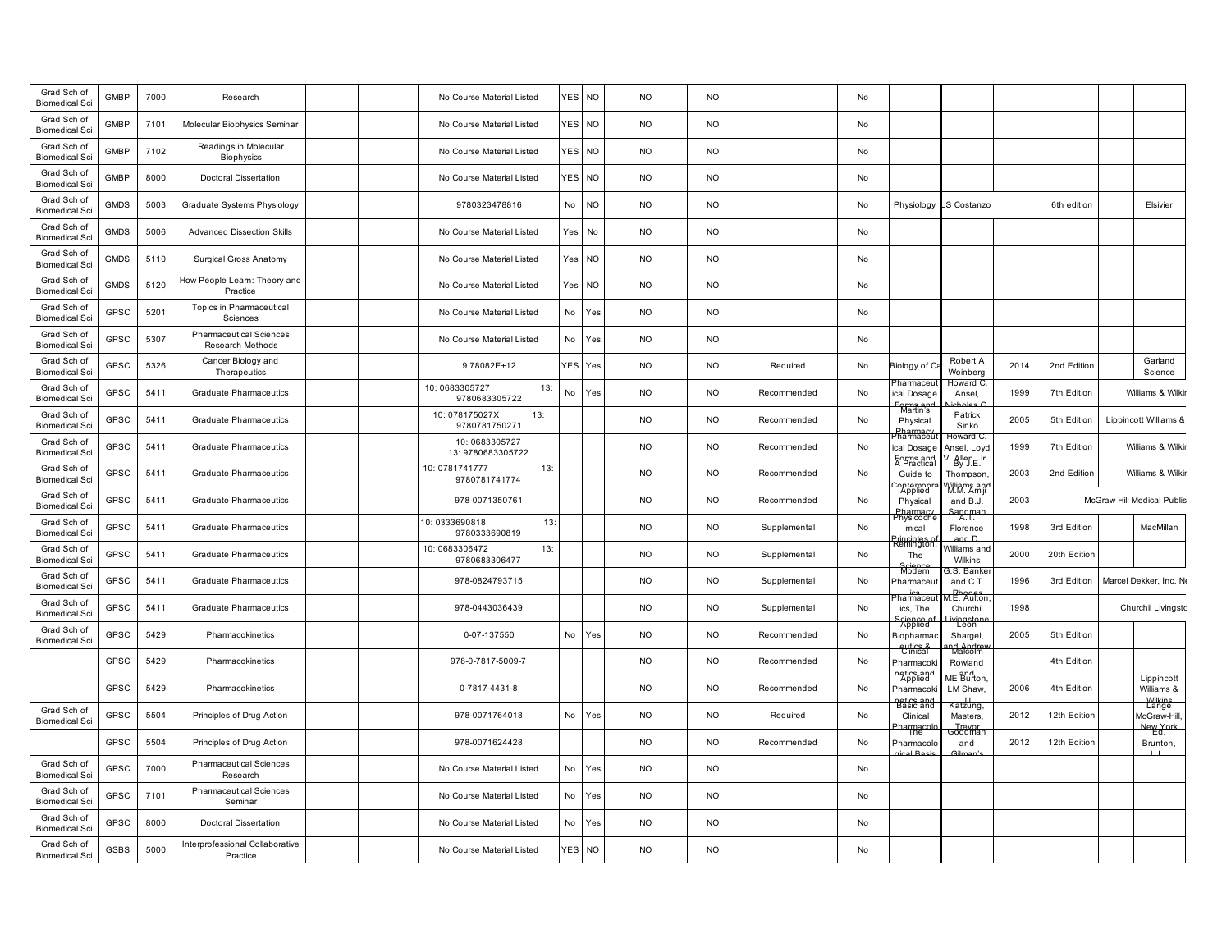| Grad Sch of<br><b>Biomedical Sci</b> | <b>GMBP</b> | 7000 | Research                                           | No Course Material Listed             | YES        | <b>NO</b>      | <b>NO</b> | <b>NO</b> |              | No |                             |                                  |      |              |                                            |  |
|--------------------------------------|-------------|------|----------------------------------------------------|---------------------------------------|------------|----------------|-----------|-----------|--------------|----|-----------------------------|----------------------------------|------|--------------|--------------------------------------------|--|
| Grad Sch of<br><b>Biomedical Sci</b> | <b>GMBP</b> | 7101 | Molecular Biophysics Seminar                       | No Course Material Listed             | <b>YES</b> | <b>NO</b>      | <b>NO</b> | <b>NO</b> |              | No |                             |                                  |      |              |                                            |  |
| Grad Sch of<br><b>Biomedical Sci</b> | <b>GMBP</b> | 7102 | Readings in Molecular<br>Biophysics                | No Course Material Listed             | YES        | <b>NO</b>      | <b>NO</b> | <b>NO</b> |              | No |                             |                                  |      |              |                                            |  |
| Grad Sch of<br><b>Biomedical Sci</b> | <b>GMBP</b> | 8000 | <b>Doctoral Dissertation</b>                       | No Course Material Listed             | <b>YES</b> | <b>NO</b>      | <b>NO</b> | <b>NO</b> |              | No |                             |                                  |      |              |                                            |  |
| Grad Sch of<br><b>Biomedical Sci</b> | <b>GMDS</b> | 5003 | Graduate Systems Physiology                        | 9780323478816                         | No         | <b>NO</b>      | <b>NO</b> | <b>NO</b> |              | No | Physiology                  | S Costanzo                       |      | 6th edition  | Elsivier                                   |  |
| Grad Sch of<br><b>Biomedical Sci</b> | <b>GMDS</b> | 5006 | <b>Advanced Dissection Skills</b>                  | No Course Material Listed             | Yes        | No             | <b>NO</b> | <b>NO</b> |              | No |                             |                                  |      |              |                                            |  |
| Grad Sch of<br><b>Biomedical Sci</b> | <b>GMDS</b> | 5110 | Surgical Gross Anatomy                             | No Course Material Listed             | Yes        | N <sub>O</sub> | <b>NO</b> | <b>NO</b> |              | No |                             |                                  |      |              |                                            |  |
| Grad Sch of<br><b>Biomedical Sci</b> | <b>GMDS</b> | 5120 | low People Leam: Theory and<br>Practice            | No Course Material Listed             | Yes        | <b>NO</b>      | <b>NO</b> | <b>NO</b> |              | No |                             |                                  |      |              |                                            |  |
| Grad Sch of<br><b>Biomedical Sci</b> | GPSC        | 5201 | Topics in Pharmaceutical<br>Sciences               | No Course Material Listed             | No         | 'es            | <b>NO</b> | <b>NO</b> |              | No |                             |                                  |      |              |                                            |  |
| Grad Sch of<br><b>Biomedical Sci</b> | <b>GPSC</b> | 5307 | <b>Pharmaceutical Sciences</b><br>Research Methods | No Course Material Listed             | No         | Yes            | <b>NO</b> | <b>NO</b> |              | No |                             |                                  |      |              |                                            |  |
| Grad Sch of<br><b>Biomedical Sci</b> | <b>GPSC</b> | 5326 | Cancer Biology and<br>Therapeutics                 | 9.78082E+12                           | YES        | Yes            | <b>NO</b> | <b>NO</b> | Required     | No | Biology of C                | Robert A<br>Weinberg             | 2014 | 2nd Edition  | Garland<br>Science                         |  |
| Grad Sch of<br><b>Biomedical Sci</b> | GPSC        | 5411 | <b>Graduate Pharmaceutics</b>                      | 10:0683305727<br>13:<br>9780683305722 | No         | Yes            | <b>NO</b> | <b>NO</b> | Recommended  | No | harmaceu<br>ical Dosage     | Howard C<br>Ansel,               | 1999 | 7th Edition  | Williams & Wilkir                          |  |
| Grad Sch of<br><b>Biomedical Sci</b> | <b>GPSC</b> | 5411 | <b>Graduate Pharmaceutics</b>                      | 10:078175027X<br>13:<br>9780781750271 |            |                | <b>NO</b> | <b>NO</b> | Recommended  | No | <b>Martin's</b><br>Physical | Patrick<br>Sinko                 | 2005 | 5th Edition  | Lippincott Williams &                      |  |
| Grad Sch of<br><b>Biomedical Sci</b> | GPSC        | 5411 | <b>Graduate Pharmaceutics</b>                      | 10:0683305727<br>13: 9780683305722    |            |                | <b>NO</b> | <b>NO</b> | Recommended  | No | 'harmace<br>ical Dosage     | loward C<br>Ansel, Loyd<br>Allen | 1999 | 7th Edition  | Williams & Wilkir                          |  |
| Grad Sch of<br><b>Biomedical Sci</b> | <b>GPSC</b> | 5411 | <b>Graduate Pharmaceutics</b>                      | 10:0781741777<br>13:<br>9780781741774 |            |                | <b>NO</b> | <b>NO</b> | Recommended  | No | A Practical<br>Guide to     | By J.E.<br>Thompson              | 2003 | 2nd Edition  | Williams & Wilkir                          |  |
| Grad Sch of<br><b>Biomedical Sci</b> | GPSC        | 5411 | <b>Graduate Pharmaceutics</b>                      | 978-0071350761                        |            |                | NO.       | <b>NO</b> | Recommended  | No | Applied<br>Physical         | M.M. Ami<br>and B.J.             | 2003 |              | McGraw Hill Medical Publis                 |  |
| Grad Sch of<br><b>Biomedical Sci</b> | GPSC        | 5411 | <b>Graduate Pharmaceutics</b>                      | 10:0333690818<br>13<br>9780333690819  |            |                | <b>NO</b> | <b>NO</b> | Supplemental | No | Physicoche<br>mical         | A.T.<br>Florence                 | 1998 | 3rd Edition  | MacMillan                                  |  |
| Grad Sch of<br><b>Biomedical Sci</b> | GPSC        | 5411 | <b>Graduate Pharmaceutics</b>                      | 13:<br>10:0683306472<br>9780683306477 |            |                | <b>NO</b> | <b>NO</b> | Supplemental | No | Remington<br>The<br>Science | Villiams ano<br>Wilkins          | 2000 | 20th Edition |                                            |  |
| Grad Sch of<br><b>Biomedical Sci</b> | <b>GPSC</b> | 5411 | <b>Graduate Pharmaceutics</b>                      | 978-0824793715                        |            |                | <b>NO</b> | <b>NO</b> | Supplemental | No | <sup>2</sup> harmaceut      | 3.S. Banke<br>and C.T.<br>Bhades | 1996 | 3rd Edition  | Marcel Dekker, Inc. No                     |  |
| Grad Sch of<br><b>Biomedical Sci</b> | GPSC        | 5411 | <b>Graduate Pharmaceutics</b>                      | 978-0443036439                        |            |                | <b>NO</b> | <b>NO</b> | Supplemental | No | harmaceu<br>ics. The        | Churchil                         | 1998 |              | Churchil Livingsto                         |  |
| Grad Sch of<br><b>Biomedical Sci</b> | GPSC        | 5429 | Pharmacokinetics                                   | 0-07-137550                           | No         | Yes            | <b>NO</b> | <b>NO</b> | Recommended  | No | Applied<br>Biopharmad       | Leon<br>Shargel,                 | 2005 | 5th Edition  |                                            |  |
|                                      | GPSC        | 5429 | Pharmacokinetics                                   | 978-0-7817-5009-7                     |            |                | <b>NO</b> | <b>NO</b> | Recommended  | No | timcal<br>Pharmacoki        | Malcolm<br>Rowland               |      | 4th Edition  |                                            |  |
|                                      | GPSC        | 5429 | Pharmacokinetics                                   | 0-7817-4431-8                         |            |                | <b>NO</b> | <b>NO</b> | Recommended  | No | Applied<br>Pharmacok        | ME Burton<br>LM Shaw,            | 2006 | 4th Edition  | Lippincott<br>Williams &<br><b>Milkins</b> |  |
| Grad Sch of<br><b>Biomedical Sci</b> | GPSC        | 5504 | Principles of Drug Action                          | 978-0071764018                        | No         | Yes            | <b>NO</b> | <b>NO</b> | Required     | No | Basic and<br>Clinical       | ≺atzung<br>Masters.<br>Goodmar   | 2012 | 2th Edition  | Lange<br>McGraw-Hill<br>New York           |  |
|                                      | GPSC        | 5504 | Principles of Drug Action                          | 978-0071624428                        |            |                | <b>NO</b> | <b>NO</b> | Recommended  | No | Pharmacolo<br>al Roc        | and                              | 2012 | 12th Edition | Brunton.                                   |  |
| Grad Sch of<br><b>Biomedical Sci</b> | <b>GPSC</b> | 7000 | <b>Pharmaceutical Sciences</b><br>Research         | No Course Material Listed             | No         | Yes            | <b>NO</b> | <b>NO</b> |              | No |                             |                                  |      |              |                                            |  |
| Grad Sch of<br><b>Biomedical Sci</b> | GPSC        | 7101 | <b>Pharmaceutical Sciences</b><br>Seminar          | No Course Material Listed             | No         | Yes            | <b>NO</b> | <b>NO</b> |              | No |                             |                                  |      |              |                                            |  |
| Grad Sch of<br><b>Biomedical Sci</b> | GPSC        | 8000 | <b>Doctoral Dissertation</b>                       | No Course Material Listed             | No         | Yes            | <b>NO</b> | <b>NO</b> |              | No |                             |                                  |      |              |                                            |  |
| Grad Sch of<br><b>Biomedical Sci</b> | <b>GSBS</b> | 5000 | Interprofessional Collaborative<br>Practice        | No Course Material Listed             | YES NO     |                | <b>NO</b> | <b>NO</b> |              | No |                             |                                  |      |              |                                            |  |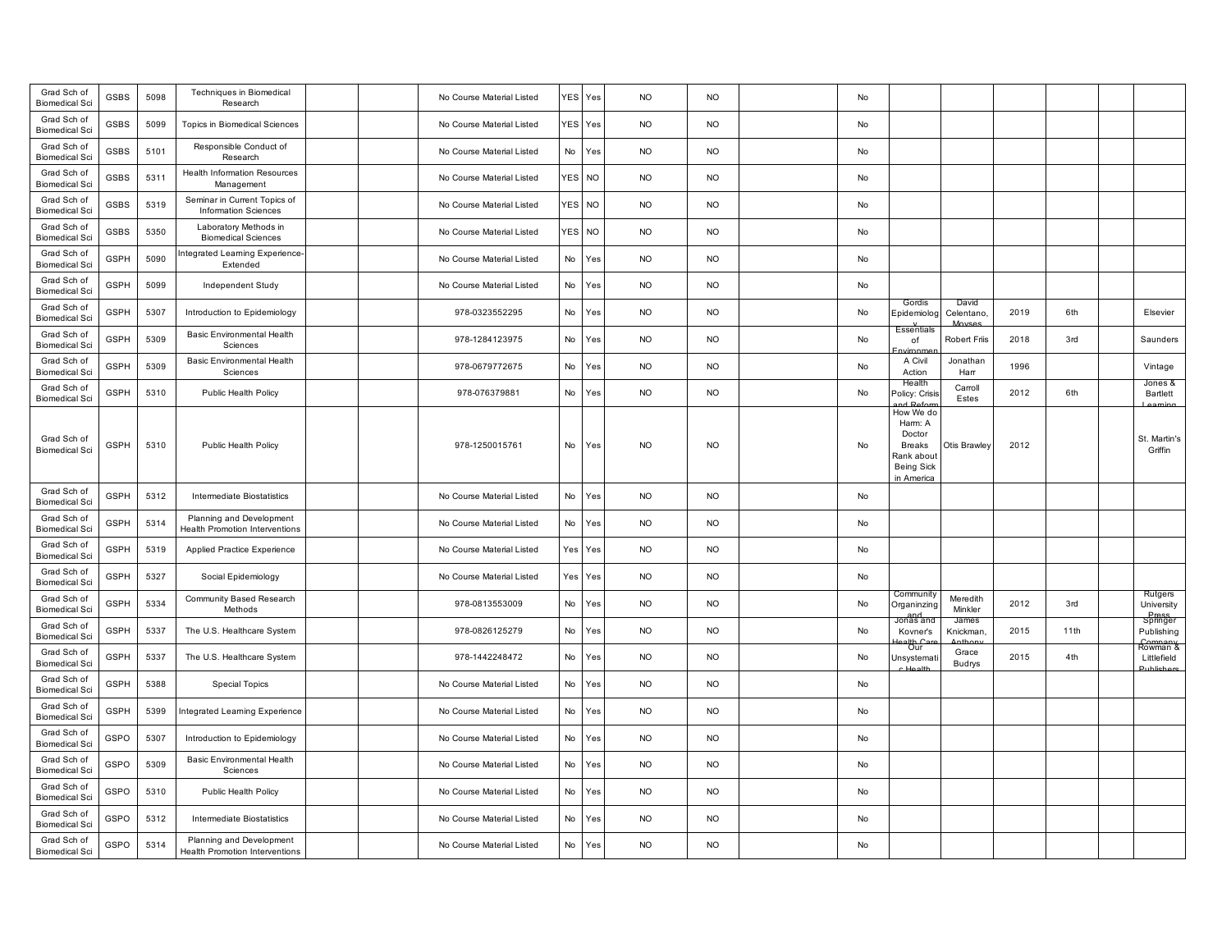| Grad Sch of<br><b>Biomedical Sci</b> | GSBS        | 5098 | Techniques in Biomedical<br>Research                              |  | No Course Material Listed | YES             | Yes       | <b>NO</b> | <b>NO</b> | No |                                                                                           |                     |      |      |                                            |
|--------------------------------------|-------------|------|-------------------------------------------------------------------|--|---------------------------|-----------------|-----------|-----------|-----------|----|-------------------------------------------------------------------------------------------|---------------------|------|------|--------------------------------------------|
| Grad Sch of<br><b>Biomedical Sci</b> | <b>GSBS</b> | 5099 | Topics in Biomedical Sciences                                     |  | No Course Material Listed | <b>YES</b>      | Yes       | <b>NO</b> | <b>NO</b> | No |                                                                                           |                     |      |      |                                            |
| Grad Sch of<br><b>Biomedical Sci</b> | <b>GSBS</b> | 5101 | Responsible Conduct of<br>Research                                |  | No Course Material Listed | No              | Yes       | <b>NO</b> | <b>NO</b> | No |                                                                                           |                     |      |      |                                            |
| Grad Sch of<br><b>Biomedical Sci</b> | <b>GSBS</b> | 5311 | <b>Health Information Resources</b><br>Management                 |  | No Course Material Listed | <b>YES</b>      | <b>NO</b> | <b>NO</b> | <b>NO</b> | No |                                                                                           |                     |      |      |                                            |
| Grad Sch of<br><b>Biomedical Sci</b> | <b>GSBS</b> | 5319 | Seminar in Current Topics of<br><b>Information Sciences</b>       |  | No Course Material Listed | YES <sup></sup> | <b>NO</b> | <b>NO</b> | <b>NO</b> | No |                                                                                           |                     |      |      |                                            |
| Grad Sch of<br><b>Biomedical Sci</b> | GSBS        | 5350 | Laboratory Methods in<br><b>Biomedical Sciences</b>               |  | No Course Material Listed | <b>YES</b>      | NO        | <b>NO</b> | NO        | No |                                                                                           |                     |      |      |                                            |
| Grad Sch of<br><b>Biomedical Sci</b> | <b>GSPH</b> | 5090 | ntegrated Learning Experience-<br>Extended                        |  | No Course Material Listed | No              | Yes       | <b>NO</b> | <b>NO</b> | No |                                                                                           |                     |      |      |                                            |
| Grad Sch of<br><b>Biomedical Sci</b> | <b>GSPH</b> | 5099 | Independent Study                                                 |  | No Course Material Listed | No              | Yes       | <b>NO</b> | <b>NO</b> | No |                                                                                           |                     |      |      |                                            |
| Grad Sch of<br><b>Biomedical Sci</b> | <b>GSPH</b> | 5307 | Introduction to Epidemiology                                      |  | 978-0323552295            | No              | Yes       | <b>NO</b> | <b>NO</b> | No | Gordis<br>Epidemiolog                                                                     | David<br>Celentano, | 2019 | 6th  | Elsevier                                   |
| Grad Sch of<br><b>Biomedical Sci</b> | <b>GSPH</b> | 5309 | <b>Basic Environmental Health</b><br>Sciences                     |  | 978-1284123975            | No              | Yes       | <b>NO</b> | <b>NO</b> | No | <b>Essential:</b><br>of                                                                   | Robert Friis        | 2018 | 3rd  | Saunders                                   |
| Grad Sch of<br><b>Biomedical Sci</b> | <b>GSPH</b> | 5309 | Basic Environmental Health<br>Sciences                            |  | 978-0679772675            | No              | Yes       | <b>NO</b> | <b>NO</b> | No | A Civil<br>Action                                                                         | Jonathan<br>Harr    | 1996 |      | Vintage                                    |
| Grad Sch of<br><b>Biomedical Sci</b> | <b>GSPH</b> | 5310 | Public Health Policy                                              |  | 978-076379881             | No              | Yes       | <b>NO</b> | <b>NO</b> | No | Health<br>Policy: Crisis                                                                  | Carroll<br>Estes    | 2012 | 6th  | Jones &<br>Bartlett                        |
| Grad Sch of<br><b>Biomedical Sci</b> | <b>GSPH</b> | 5310 | Public Health Policy                                              |  | 978-1250015761            | No              | Yes       | <b>NO</b> | <b>NO</b> | No | How We do<br>Harm: A<br>Doctor<br>Breaks<br>Rank about<br><b>Being Sick</b><br>in America | Otis Brawley        | 2012 |      | St. Martin's<br>Griffin                    |
| Grad Sch of<br><b>Biomedical Sci</b> | <b>GSPH</b> | 5312 | Intermediate Biostatistics                                        |  | No Course Material Listed | No              | Yes       | <b>NO</b> | <b>NO</b> | No |                                                                                           |                     |      |      |                                            |
| Grad Sch of<br><b>Biomedical Sci</b> | <b>GSPH</b> | 5314 | Planning and Development<br><b>Health Promotion Interventions</b> |  | No Course Material Listed | No              | Yes       | <b>NO</b> | <b>NO</b> | No |                                                                                           |                     |      |      |                                            |
| Grad Sch of<br><b>Biomedical Sci</b> | <b>GSPH</b> | 5319 | Applied Practice Experience                                       |  | No Course Material Listed | Yes             | Yes       | <b>NO</b> | <b>NO</b> | No |                                                                                           |                     |      |      |                                            |
| Grad Sch of<br><b>Biomedical Sci</b> | <b>GSPH</b> | 5327 | Social Epidemiology                                               |  | No Course Material Listed | Yes             | Yes       | <b>NO</b> | <b>NO</b> | No |                                                                                           |                     |      |      |                                            |
| Grad Sch of<br><b>Biomedical Sci</b> | <b>GSPH</b> | 5334 | Community Based Research<br>Methods                               |  | 978-0813553009            | No              | Yes       | <b>NO</b> | <b>NO</b> | No | Community<br>Organinzing                                                                  | Meredith<br>Minkler | 2012 | 3rd  | Rutgers<br>University<br>Press<br>Springer |
| Grad Sch of<br><b>Biomedical Sci</b> | <b>GSPH</b> | 5337 | The U.S. Healthcare System                                        |  | 978-0826125279            | No              | Yes       | <b>NO</b> | <b>NO</b> | No | Jonas and<br>Kovner's<br>alth Ca<br>Our                                                   | James<br>Knickman.  | 2015 | 11th | Publishing<br>Company<br>Rowman &          |
| Grad Sch of<br><b>Biomedical Sci</b> | <b>GSPH</b> | 5337 | The U.S. Healthcare System                                        |  | 978-1442248472            | No              | Yes       | <b>NO</b> | <b>NO</b> | No | Unsystemat                                                                                | Grace<br>Budrys     | 2015 | 4th  | Littlefield<br>$Jth$ lichor                |
| Grad Sch of<br><b>Biomedical Sci</b> | <b>GSPH</b> | 5388 | <b>Special Topics</b>                                             |  | No Course Material Listed | No              | Yes       | <b>NO</b> | <b>NO</b> | No |                                                                                           |                     |      |      |                                            |
| Grad Sch of<br><b>Biomedical Sci</b> | <b>GSPH</b> | 5399 | Integrated Learning Experience                                    |  | No Course Material Listed | No              | Yes       | <b>NO</b> | <b>NO</b> | No |                                                                                           |                     |      |      |                                            |
| Grad Sch of<br><b>Biomedical Sci</b> | GSPO        | 5307 | Introduction to Epidemiology                                      |  | No Course Material Listed | No              | Yes       | <b>NO</b> | <b>NO</b> | No |                                                                                           |                     |      |      |                                            |
| Grad Sch of<br><b>Biomedical Sci</b> | GSPO        | 5309 | <b>Basic Environmental Health</b><br>Sciences                     |  | No Course Material Listed | No              | Yes       | <b>NO</b> | <b>NO</b> | No |                                                                                           |                     |      |      |                                            |
| Grad Sch of<br><b>Biomedical Sci</b> | GSPO        | 5310 | Public Health Policy                                              |  | No Course Material Listed | No              | Yes       | <b>NO</b> | <b>NO</b> | No |                                                                                           |                     |      |      |                                            |
| Grad Sch of<br><b>Biomedical Sci</b> | GSPO        | 5312 | Intermediate Biostatistics                                        |  | No Course Material Listed | No              | Yes       | <b>NO</b> | <b>NO</b> | No |                                                                                           |                     |      |      |                                            |
| Grad Sch of<br><b>Biomedical Sci</b> | GSPO        | 5314 | Planning and Development<br><b>Health Promotion Interventions</b> |  | No Course Material Listed | No              | Yes       | <b>NO</b> | <b>NO</b> | No |                                                                                           |                     |      |      |                                            |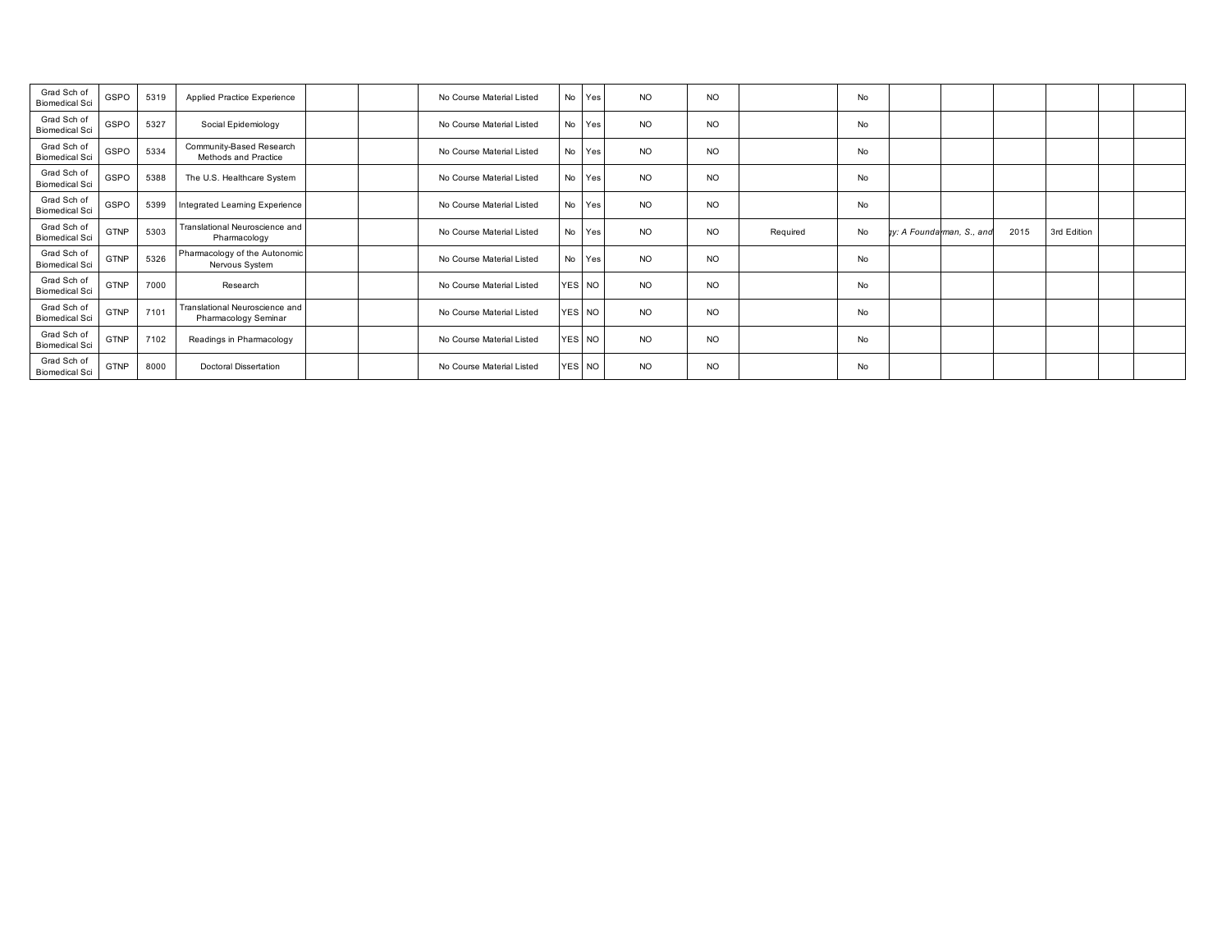| Grad Sch of<br><b>Biomedical Sci</b> | GSPO        | 5319 | Applied Practice Experience                            |  | No Course Material Listed | No Yes | <b>NO</b> | N <sub>O</sub> |          | No |                           |      |             |  |
|--------------------------------------|-------------|------|--------------------------------------------------------|--|---------------------------|--------|-----------|----------------|----------|----|---------------------------|------|-------------|--|
| Grad Sch of<br><b>Biomedical Sci</b> | GSPO        | 5327 | Social Epidemiology                                    |  | No Course Material Listed | No Yes | <b>NO</b> | <b>NO</b>      |          | No |                           |      |             |  |
| Grad Sch of<br><b>Biomedical Sci</b> | GSPO        | 5334 | Community-Based Research<br>Methods and Practice       |  | No Course Material Listed | No Yes | <b>NO</b> | <b>NO</b>      |          | No |                           |      |             |  |
| Grad Sch of<br><b>Biomedical Sci</b> | GSPO        | 5388 | The U.S. Healthcare System                             |  | No Course Material Listed | No Yes | <b>NO</b> | N <sub>O</sub> |          | No |                           |      |             |  |
| Grad Sch of<br><b>Biomedical Sci</b> | GSPO        | 5399 | Integrated Learning Experience                         |  | No Course Material Listed | No Yes | <b>NO</b> | <b>NO</b>      |          | No |                           |      |             |  |
| Grad Sch of<br><b>Biomedical Sci</b> | <b>GTNP</b> | 5303 | Translational Neuroscience and<br>Pharmacology         |  | No Course Material Listed | No Yes | <b>NO</b> | <b>NO</b>      | Required | No | ty: A Foundarman, S., and | 2015 | 3rd Edition |  |
| Grad Sch of<br><b>Biomedical Sci</b> | <b>GTNP</b> | 5326 | Pharmacology of the Autonomic<br>Nervous System        |  | No Course Material Listed | No Yes | <b>NO</b> | <b>NO</b>      |          | No |                           |      |             |  |
| Grad Sch of<br><b>Biomedical Sci</b> | GTNP        | 7000 | Research                                               |  | No Course Material Listed | YES NO | <b>NO</b> | <b>NO</b>      |          | No |                           |      |             |  |
| Grad Sch of<br><b>Biomedical Sci</b> | <b>GTNP</b> | 7101 | Translational Neuroscience and<br>Pharmacology Seminar |  | No Course Material Listed | YES NO | <b>NO</b> | <b>NO</b>      |          | No |                           |      |             |  |
| Grad Sch of<br><b>Biomedical Sci</b> | <b>GTNP</b> | 7102 | Readings in Pharmacology                               |  | No Course Material Listed | YES NO | <b>NO</b> | <b>NO</b>      |          | No |                           |      |             |  |
| Grad Sch of<br><b>Biomedical Sci</b> | <b>GTNP</b> | 8000 | <b>Doctoral Dissertation</b>                           |  | No Course Material Listed | YES NO | <b>NO</b> | <b>NO</b>      |          | No |                           |      |             |  |